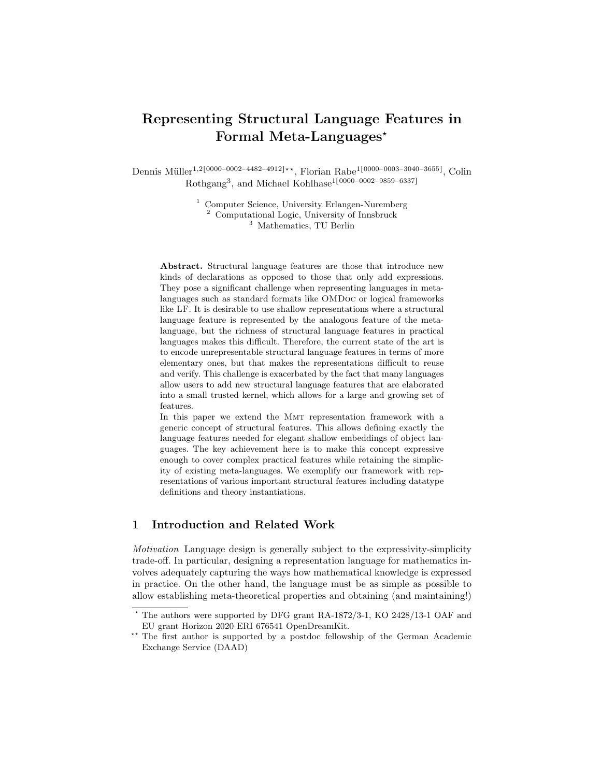# Representing Structural Language Features in Formal Meta-Languages**<sup>⋆</sup>**

Dennis Müller<sup>1,2[0000–0002–4482–4912]∗∗</sup>, Florian Rabe<sup>1[0000–0003–3040–3655]</sup>, Colin Rothgang<sup>3</sup>, and Michael Kohlhase<sup>1[0000–0002–9859–6337]</sup>

> <sup>1</sup> Computer Science, University Erlangen-Nuremberg <sup>2</sup> Computational Logic, University of Innsbruck <sup>3</sup> Mathematics, TU Berlin

Abstract. Structural language features are those that introduce new kinds of declarations as opposed to those that only add expressions. They pose a significant challenge when representing languages in metalanguages such as standard formats like OMDoc or logical frameworks like LF. It is desirable to use shallow representations where a structural language feature is represented by the analogous feature of the metalanguage, but the richness of structural language features in practical languages makes this difficult. Therefore, the current state of the art is to encode unrepresentable structural language features in terms of more elementary ones, but that makes the representations difficult to reuse and verify. This challenge is exacerbated by the fact that many languages allow users to add new structural language features that are elaborated into a small trusted kernel, which allows for a large and growing set of features.

In this paper we extend the MMT representation framework with a generic concept of structural features. This allows defining exactly the language features needed for elegant shallow embeddings of object languages. The key achievement here is to make this concept expressive enough to cover complex practical features while retaining the simplicity of existing meta-languages. We exemplify our framework with representations of various important structural features including datatype definitions and theory instantiations.

# 1 Introduction and Related Work

Motivation Language design is generally subject to the expressivity-simplicity trade-off. In particular, designing a representation language for mathematics involves adequately capturing the ways how mathematical knowledge is expressed in practice. On the other hand, the language must be as simple as possible to allow establishing meta-theoretical properties and obtaining (and maintaining!)

 $*$  The authors were supported by DFG grant RA-1872/3-1, KO 2428/13-1 OAF and EU grant Horizon 2020 ERI 676541 OpenDreamKit.

<sup>&</sup>lt;sup>\*\*</sup> The first author is supported by a postdoc fellowship of the German Academic Exchange Service (DAAD)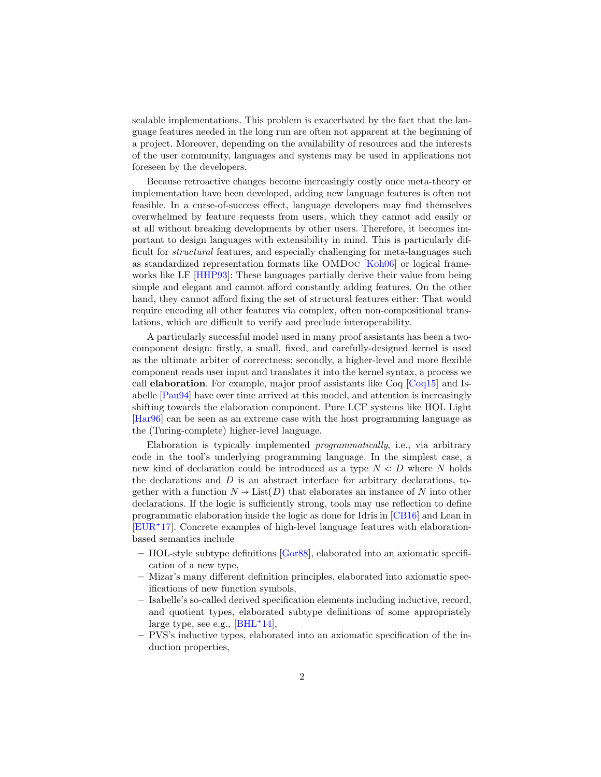scalable implementations. This problem is exacerbated by the fact that the language features needed in the long run are often not apparent at the beginning of a project. Moreover, depending on the availability of resources and the interests of the user community, languages and systems may be used in applications not foreseen by the developers.

Because retroactive changes become increasingly costly once meta-theory or implementation have been developed, adding new language features is often not feasible. In a curse-of-success effect, language developers may find themselves overwhelmed by feature requests from users, which they cannot add easily or at all without breaking developments by other users. Therefore, it becomes important to design languages with extensibility in mind. This is particularly difficult for structural features, and especially challenging for meta-languages such as standardized representation formats like OMDoc [\[Koh06\]](#page-14-0) or logical frameworks like LF [\[HHP93\]](#page-13-0): These languages partially derive their value from being simple and elegant and cannot afford constantly adding features. On the other hand, they cannot afford fixing the set of structural features either: That would require encoding all other features via complex, often non-compositional translations, which are difficult to verify and preclude interoperability.

A particularly successful model used in many proof assistants has been a twocomponent design: firstly, a small, fixed, and carefully-designed kernel is used as the ultimate arbiter of correctness; secondly, a higher-level and more flexible component reads user input and translates it into the kernel syntax, a process we call elaboration. For example, major proof assistants like Coq [\[Coq15\]](#page-13-1) and Isabelle [\[Pau94\]](#page-14-1) have over time arrived at this model, and attention is increasingly shifting towards the elaboration component. Pure LCF systems like HOL Light [\[Har96\]](#page-13-2) can be seen as an extreme case with the host programming language as the (Turing-complete) higher-level language.

Elaboration is typically implemented programmatically, i.e., via arbitrary code in the tool's underlying programming language. In the simplest case, a new kind of declaration could be introduced as a type  $N \lt D$  where N holds the declarations and  $D$  is an abstract interface for arbitrary declarations, together with a function  $N \to \text{List}(D)$  that elaborates an instance of N into other declarations. If the logic is sufficiently strong, tools may use reflection to define programmatic elaboration inside the logic as done for Idris in [\[CB16\]](#page-13-3) and Lean in [\[EUR](#page-13-4)<sup>+</sup> 17]. Concrete examples of high-level language features with elaborationbased semantics include

- HOL-style subtype definitions [\[Gor88\]](#page-13-5), elaborated into an axiomatic specification of a new type,
- Mizar's many different definition principles, elaborated into axiomatic specifications of new function symbols,
- Isabelle's so-called derived specification elements including inductive, record, and quotient types, elaborated subtype definitions of some appropriately large type, see e.g.,  $[BHL^+14]$  $[BHL^+14]$ ,
- PVS's inductive types, elaborated into an axiomatic specification of the induction properties,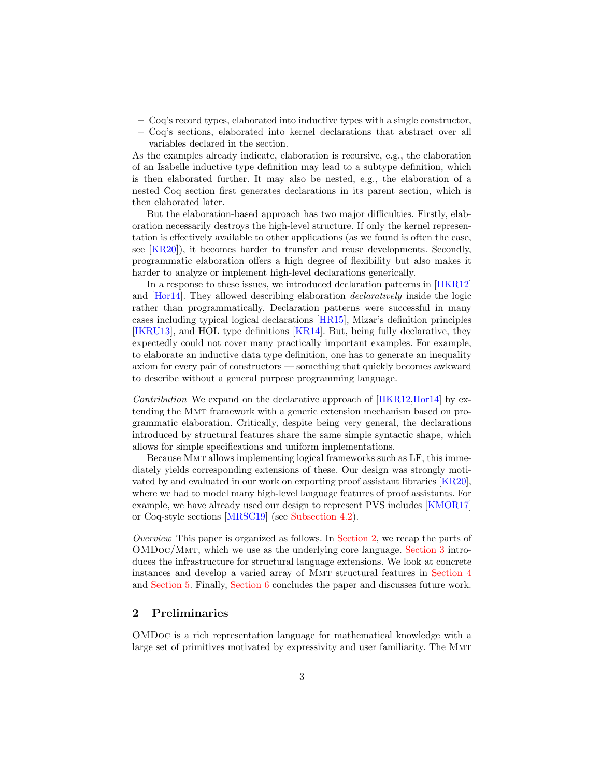- Coq's record types, elaborated into inductive types with a single constructor,
- Coq's sections, elaborated into kernel declarations that abstract over all variables declared in the section.

As the examples already indicate, elaboration is recursive, e.g., the elaboration of an Isabelle inductive type definition may lead to a subtype definition, which is then elaborated further. It may also be nested, e.g., the elaboration of a nested Coq section first generates declarations in its parent section, which is then elaborated later.

But the elaboration-based approach has two major difficulties. Firstly, elaboration necessarily destroys the high-level structure. If only the kernel representation is effectively available to other applications (as we found is often the case, see [\[KR20\]](#page-14-2)), it becomes harder to transfer and reuse developments. Secondly, programmatic elaboration offers a high degree of flexibility but also makes it harder to analyze or implement high-level declarations generically.

In a response to these issues, we introduced declaration patterns in [\[HKR12\]](#page-13-7) and [\[Hor14\]](#page-14-3). They allowed describing elaboration declaratively inside the logic rather than programmatically. Declaration patterns were successful in many cases including typical logical declarations [\[HR15\]](#page-14-4), Mizar's definition principles [\[IKRU13\]](#page-14-5), and HOL type definitions [\[KR14\]](#page-14-6). But, being fully declarative, they expectedly could not cover many practically important examples. For example, to elaborate an inductive data type definition, one has to generate an inequality axiom for every pair of constructors — something that quickly becomes awkward to describe without a general purpose programming language.

Contribution We expand on the declarative approach of [\[HKR12](#page-13-7)[,Hor14\]](#page-14-3) by extending the Mmt framework with a generic extension mechanism based on programmatic elaboration. Critically, despite being very general, the declarations introduced by structural features share the same simple syntactic shape, which allows for simple specifications and uniform implementations.

Because Mmt allows implementing logical frameworks such as LF, this immediately yields corresponding extensions of these. Our design was strongly motivated by and evaluated in our work on exporting proof assistant libraries [\[KR20\]](#page-14-2), where we had to model many high-level language features of proof assistants. For example, we have already used our design to represent PVS includes [\[KMOR17\]](#page-14-7) or Coq-style sections [\[MRSC19\]](#page-14-8) (see [Subsection 4.2\)](#page-7-0).

Overview This paper is organized as follows. In [Section 2,](#page-2-0) we recap the parts of OMDoc/Mmt, which we use as the underlying core language. [Section 3](#page-3-0) introduces the infrastructure for structural language extensions. We look at concrete instances and develop a varied array of Mmt structural features in [Section 4](#page-5-0) and [Section 5.](#page-11-0) Finally, [Section 6](#page-12-0) concludes the paper and discusses future work.

# <span id="page-2-0"></span>2 Preliminaries

OMDoc is a rich representation language for mathematical knowledge with a large set of primitives motivated by expressivity and user familiarity. The Mmt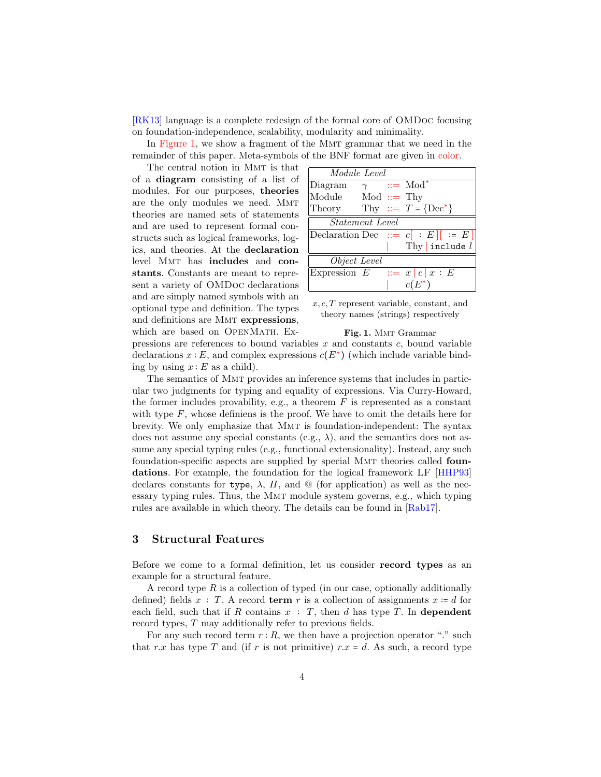[\[RK13\]](#page-14-9) language is a complete redesign of the formal core of OMDoc focusing on foundation-independence, scalability, modularity and minimality.

In [Figure 1,](#page-3-1) we show a fragment of the Mmt grammar that we need in the remainder of this paper. Meta-symbols of the BNF format are given in color.

The central notion in MMT is that of a diagram consisting of a list of modules. For our purposes, theories are the only modules we need. Mmt theories are named sets of statements and are used to represent formal constructs such as logical frameworks, logics, and theories. At the declaration level MMT has **includes** and **con**stants. Constants are meant to represent a variety of OMDoc declarations and are simply named symbols with an optional type and definition. The types and definitions are Mmt expressions, which are based on OPENMATH. Ex-

| Module Level           |                            |  |                                        |  |
|------------------------|----------------------------|--|----------------------------------------|--|
| Diagram                |                            |  | $\gamma$ ::= Mod <sup>*</sup>          |  |
| Module                 | $\text{Mod} := \text{Thy}$ |  |                                        |  |
| Theory                 |                            |  | Thy ::= $T = \{Dec^*\}$                |  |
| <i>Statement Level</i> |                            |  |                                        |  |
|                        |                            |  | Declaration Dec ::= $c$ : $E$   := $E$ |  |
|                        |                            |  | Thy include $l$                        |  |
| <i>Object Level</i>    |                            |  |                                        |  |
| Expression $E$         |                            |  | $\therefore = x   c   x : E$           |  |
|                        |                            |  | $c(E^*)$                               |  |

x, c, T represent variable, constant, and theory names (strings) respectively

#### <span id="page-3-1"></span>Fig. 1. MMT Grammar

pressions are references to bound variables  $x$  and constants  $c$ , bound variable declarations  $x: E$ , and complex expressions  $c(E^*)$  (which include variable binding by using  $x : E$  as a child).

The semantics of Mmt provides an inference systems that includes in particular two judgments for typing and equality of expressions. Via Curry-Howard, the former includes provability, e.g., a theorem  $F$  is represented as a constant with type  $F$ , whose definiens is the proof. We have to omit the details here for brevity. We only emphasize that MMT is foundation-independent: The syntax does not assume any special constants (e.g.,  $\lambda$ ), and the semantics does not assume any special typing rules (e.g., functional extensionality). Instead, any such foundation-specific aspects are supplied by special Mmt theories called foundations. For example, the foundation for the logical framework LF [\[HHP93\]](#page-13-0) declares constants for type,  $\lambda$ ,  $\Pi$ , and  $\mathcal Q$  (for application) as well as the necessary typing rules. Thus, the Mmt module system governs, e.g., which typing rules are available in which theory. The details can be found in [\[Rab17\]](#page-14-10).

# <span id="page-3-0"></span>3 Structural Features

Before we come to a formal definition, let us consider record types as an example for a structural feature.

A record type  $R$  is a collection of typed (in our case, optionally additionally defined) fields x : T. A record **term** r is a collection of assignments  $x := d$  for each field, such that if R contains  $x : T$ , then d has type T. In dependent record types, T may additionally refer to previous fields.

For any such record term  $r : R$ , we then have a projection operator "." such that r.x has type T and (if r is not primitive)  $r.x = d$ . As such, a record type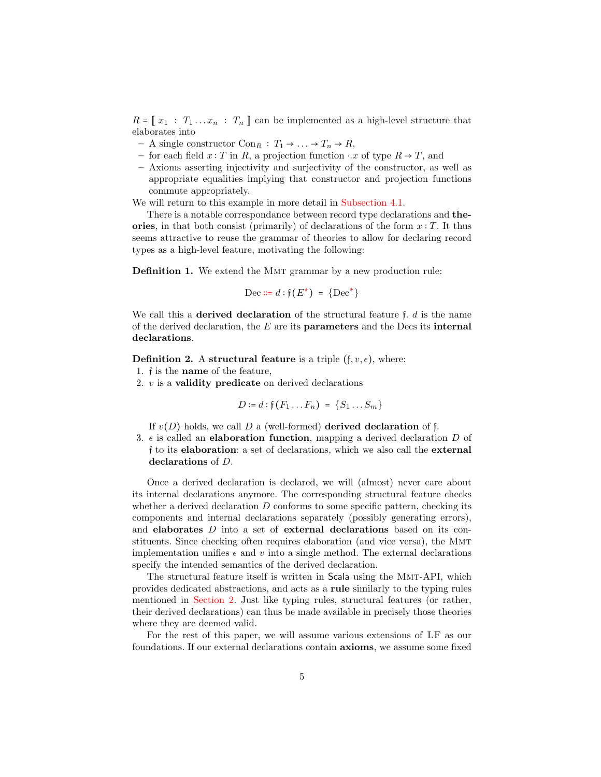$R = \lbrack\!\lbrack\ x_1\ \vdots\ x_n\ \ldots\ x_n\ \vdots\ x_n \rbrack\!\rbrack$  can be implemented as a high-level structure that elaborates into

- A single constructor  $Con_R : T_1 \rightarrow ... \rightarrow T_n \rightarrow R$ ,
- for each field  $x : T$  in R, a projection function  $\cdot x$  of type  $R \to T$ , and
- Axioms asserting injectivity and surjectivity of the constructor, as well as appropriate equalities implying that constructor and projection functions commute appropriately.

We will return to this example in more detail in [Subsection 4.1.](#page-5-1)

There is a notable correspondance between record type declarations and theories, in that both consist (primarily) of declarations of the form  $x : T$ . It thus seems attractive to reuse the grammar of theories to allow for declaring record types as a high-level feature, motivating the following:

Definition 1. We extend the Mmt grammar by a new production rule:

$$
Dec ::= d : \mathfrak{f}(E^*) = \{Dec^*\}
$$

We call this a **derived declaration** of the structural feature f.  $d$  is the name of the derived declaration, the  $E$  are its **parameters** and the Decs its **internal** declarations.

**Definition 2.** A structural feature is a triple  $(f, v, \epsilon)$ , where:

- 1. f is the name of the feature,
- 2.  $v$  is a validity predicate on derived declarations

$$
D \coloneqq d \cdot \mathfrak{f}(F_1 \ldots F_n) = \{S_1 \ldots S_m\}
$$

If  $v(D)$  holds, we call D a (well-formed) **derived declaration** of f.

3.  $\epsilon$  is called an **elaboration function**, mapping a derived declaration D of f to its elaboration: a set of declarations, which we also call the external declarations of D.

Once a derived declaration is declared, we will (almost) never care about its internal declarations anymore. The corresponding structural feature checks whether a derived declaration  $D$  conforms to some specific pattern, checking its components and internal declarations separately (possibly generating errors), and elaborates  $D$  into a set of external declarations based on its constituents. Since checking often requires elaboration (and vice versa), the Mmt implementation unifies  $\epsilon$  and v into a single method. The external declarations specify the intended semantics of the derived declaration.

The structural feature itself is written in Scala using the Mmt-API, which provides dedicated abstractions, and acts as a rule similarly to the typing rules mentioned in [Section 2.](#page-2-0) Just like typing rules, structural features (or rather, their derived declarations) can thus be made available in precisely those theories where they are deemed valid.

For the rest of this paper, we will assume various extensions of LF as our foundations. If our external declarations contain axioms, we assume some fixed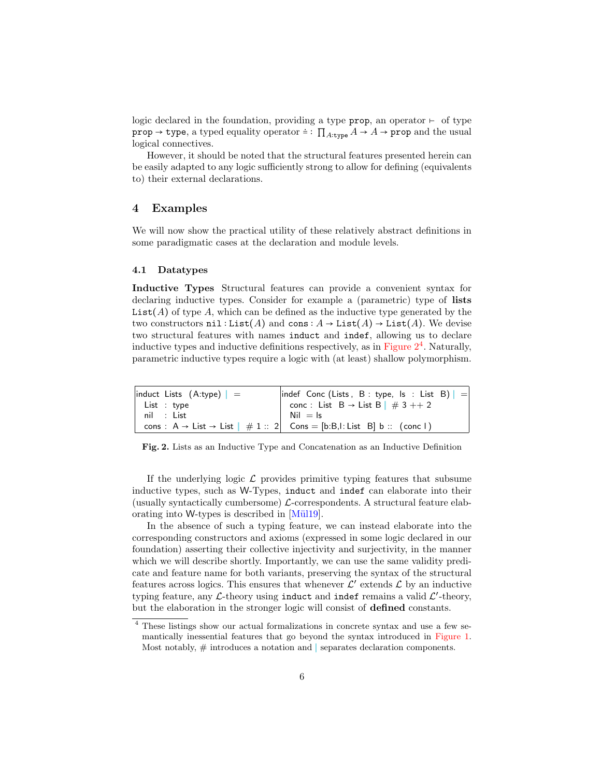logic declared in the foundation, providing a type **prop**, an operator  $\vdash$  of type prop  $\rightarrow$  type, a typed equality operator  $\dot{=}$ :  $\prod_{A:\text{type}} A \rightarrow A \rightarrow$  prop and the usual logical connectives.

However, it should be noted that the structural features presented herein can be easily adapted to any logic sufficiently strong to allow for defining (equivalents to) their external declarations.

# <span id="page-5-0"></span>4 Examples

We will now show the practical utility of these relatively abstract definitions in some paradigmatic cases at the declaration and module levels.

#### <span id="page-5-1"></span>4.1 Datatypes

Inductive Types Structural features can provide a convenient syntax for declaring inductive types. Consider for example a (parametric) type of lists  $List(A)$  of type A, which can be defined as the inductive type generated by the two constructors  $\text{nil}:$  List(A) and cons : A  $\rightarrow$  List(A)  $\rightarrow$  List(A). We devise two structural features with names induct and indef, allowing us to declare inductive types and inductive definitions respectively, as in Figure  $2<sup>4</sup>$  $2<sup>4</sup>$  $2<sup>4</sup>$ . Naturally, parametric inductive types require a logic with (at least) shallow polymorphism.

| $ $ induct Lists $(A:type)$ $ $ = | $ $ indef Conc (Lists, B : type, ls : List B) $ $ =                                             |
|-----------------------------------|-------------------------------------------------------------------------------------------------|
| List : type                       | conc: List $B \rightarrow$ List $B \mid #3++2$                                                  |
| nil : List                        | $Nil = ls$                                                                                      |
|                                   | cons : A $\rightarrow$ List $\rightarrow$ List   # 1 :: 2  Cons = [b:B,l: List B] b :: (conc l) |

<span id="page-5-2"></span>Fig. 2. Lists as an Inductive Type and Concatenation as an Inductive Definition

If the underlying logic  $\mathcal L$  provides primitive typing features that subsume inductive types, such as W-Types, induct and indef can elaborate into their (usually syntactically cumbersome)  $\mathcal{L}$ -correspondents. A structural feature elaborating into W-types is described in [Mül19].

In the absence of such a typing feature, we can instead elaborate into the corresponding constructors and axioms (expressed in some logic declared in our foundation) asserting their collective injectivity and surjectivity, in the manner which we will describe shortly. Importantly, we can use the same validity predicate and feature name for both variants, preserving the syntax of the structural features across logics. This ensures that whenever  $\mathcal{L}'$  extends  $\mathcal{L}$  by an inductive typing feature, any  $\mathcal{L}\text{-theory}$  using induct and indef remains a valid  $\mathcal{L}'\text{-theory}$ , but the elaboration in the stronger logic will consist of defined constants.

<span id="page-5-3"></span><sup>4</sup> These listings show our actual formalizations in concrete syntax and use a few semantically inessential features that go beyond the syntax introduced in [Figure 1.](#page-3-1) Most notably, # introduces a notation and ∣ separates declaration components.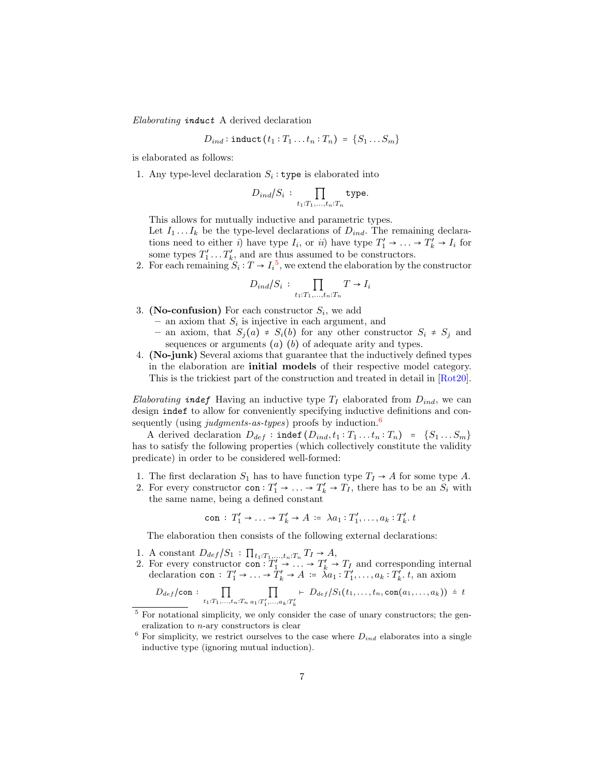Elaborating induct A derived declaration

$$
D_{ind}: \text{induct}\left(t_1: T_1 \ldots t_n: T_n\right) = \{S_1 \ldots S_m\}
$$

is elaborated as follows:

1. Any type-level declaration  $S_i$ : type is elaborated into

$$
D_{ind}/S_i: \prod_{t_1:T_1,\ldots,t_n:T_n} \text{type}.
$$

This allows for mutually inductive and parametric types.

Let  $I_1 \ldots I_k$  be the type-level declarations of  $D_{ind}$ . The remaining declarations need to either i) have type  $I_i$ , or ii) have type  $T'_1 \rightarrow \cdots \rightarrow T'_k \rightarrow I_i$  for some types  $T'_1 \dots T'_k$ , and are thus assumed to be constructors.

2. For each remaining  $S_i: T \to I_i^5$  $S_i: T \to I_i^5$ , we extend the elaboration by the constructor

$$
D_{ind}/S_i: \prod_{t_1:T_1,\ldots,t_n:T_n} T \to I_i
$$

- 3. (No-confusion) For each constructor  $S_i$ , we add
	- $-$  an axiom that  $S_i$  is injective in each argument, and
	- an axiom, that  $S_i(a) \neq S_i(b)$  for any other constructor  $S_i \neq S_j$  and sequences or arguments  $(a)$   $(b)$  of adequate arity and types.
- 4. (No-junk) Several axioms that guarantee that the inductively defined types in the elaboration are initial models of their respective model category. This is the trickiest part of the construction and treated in detail in [\[Rot20\]](#page-14-12).

*Elaborating indef* Having an inductive type  $T_I$  elaborated from  $D_{ind}$ , we can design indef to allow for conveniently specifying inductive definitions and con-sequently (using judgments-as-types) proofs by induction.<sup>[6](#page-6-1)</sup>

A derived declaration  $D_{def}$ : indef  $(D_{ind}, t_1 : T_1 \ldots t_n : T_n) = \{S_1 \ldots S_m\}$ has to satisfy the following properties (which collectively constitute the validity predicate) in order to be considered well-formed:

- 1. The first declaration  $S_1$  has to have function type  $T_I \rightarrow A$  for some type A.
- 2. For every constructor con :  $T'_1 \rightarrow \ldots \rightarrow T'_k \rightarrow T_I$ , there has to be an  $S_i$  with the same name, being a defined constant

$$
\text{con} : T'_1 \to \dots \to T'_k \to A \coloneqq \lambda a_1 : T'_1, \dots, a_k : T'_k \cdot t
$$

The elaboration then consists of the following external declarations:

- 1. A constant  $D_{def}/S_1 : \prod_{t_1:T_1,\ldots,t_n:T_n} T_I \rightarrow A,$
- 2. For every constructor con :  $T'_1 \rightarrow \dots \rightarrow T'_k \rightarrow T_I$  and corresponding internal declaration con :  $T'_1 \rightarrow \ldots \rightarrow \tilde{T}'_k \rightarrow A$  :=  $\lambda a_1 : T'_1, \ldots, a_k : T'_k \rightarrow t$ , an axiom

$$
D_{def}/\text{con}: \prod_{t_1:T_1,\ldots,t_n:T_n} \prod_{a_1:T'_1,\ldots,a_k:T'_k} \vdash D_{def}/S_1(t_1,\ldots,t_n,\text{con}(a_1,\ldots,a_k)) \doteq t
$$

<span id="page-6-0"></span><sup>&</sup>lt;sup>5</sup> For notational simplicity, we only consider the case of unary constructors; the generalization to n-ary constructors is clear

<span id="page-6-1"></span> $6$  For simplicity, we restrict ourselves to the case where  $D_{ind}$  elaborates into a single inductive type (ignoring mutual induction).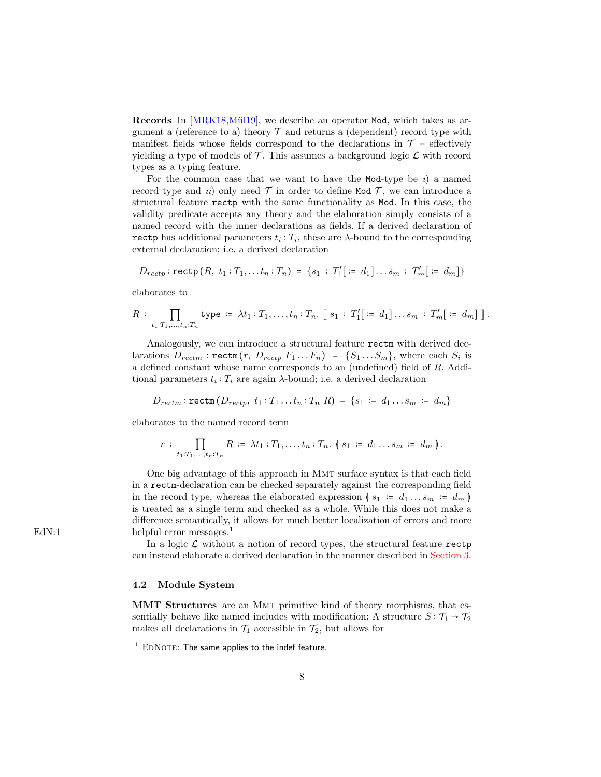**Records** In  $[MRK18,Mü119]$  $[MRK18,Mü119]$ , we describe an operator Mod, which takes as argument a (reference to a) theory  $\mathcal T$  and returns a (dependent) record type with manifest fields whose fields correspond to the declarations in  $\mathcal{T}$  – effectively yielding a type of models of  $\mathcal T$ . This assumes a background logic  $\mathcal L$  with record types as a typing feature.

For the common case that we want to have the Mod-type be  $i)$  a named record type and ii) only need  $\mathcal T$  in order to define Mod  $\mathcal T$ , we can introduce a structural feature rectp with the same functionality as Mod. In this case, the validity predicate accepts any theory and the elaboration simply consists of a named record with the inner declarations as fields. If a derived declaration of rectp has additional parameters  $t_i : T_i$ , these are  $\lambda$ -bound to the corresponding external declaration; i.e. a derived declaration

$$
D_{rectp} : \mathtt{rectp}\,(R, t_1 : T_1, \ldots t_n : T_n) = \{s_1 : T'_1[ := d_1] \ldots s_m : T'_m[ := d_m] \}
$$

elaborates to

$$
R: \prod_{t_1:T_1,...,t_n:T_n} \text{type} \; \text{:=} \; \lambda t_1:T_1,\ldots,t_n:T_n. \; [\; s_1 \; : \; T'_1[ \; := \; d_1] \ldots s_m \; : \; T'_m[ \; := \; d_m] \; ] \; .
$$

Analogously, we can introduce a structural feature rectm with derived declarations  $D_{rectm}$ :  $\texttt{rectm}(r, D_{rectp} F_1 ... F_n) = \{S_1 ... S_m\}$ , where each  $S_i$  is a defined constant whose name corresponds to an (undefined) field of R. Additional parameters  $t_i: T_i$  are again  $\lambda$ -bound; i.e. a derived declaration

$$
D_{rectm} : \texttt{rectm}(D_{rectp}, t_1 : T_1 ... t_n : T_n R) = \{s_1 := d_1 ... s_m := d_m\}
$$

elaborates to the named record term

$$
r : \prod_{t_1:T_1,...,t_n:T_n} R :: \lambda t_1 : T_1,...,t_n : T_n. \ (s_1 := d_1...s_m := d_m).
$$

One big advantage of this approach in Mmt surface syntax is that each field in a rectm-declaration can be checked separately against the corresponding field in the record type, whereas the elaborated expression  $\langle s_1 := d_1 \dots s_m := d_m \rangle$ is treated as a single term and checked as a whole. While this does not make a difference semantically, it allows for much better localization of errors and more EdN:1 helpful error messages.<sup>1</sup>

> In a logic  $\mathcal L$  without a notion of record types, the structural feature rectp can instead elaborate a derived declaration in the manner described in [Section 3.](#page-3-0)

#### <span id="page-7-0"></span>4.2 Module System

MMT Structures are an Mmt primitive kind of theory morphisms, that essentially behave like named includes with modification: A structure  $S : \mathcal{T}_1 \to \mathcal{T}_2$ makes all declarations in  $\mathcal{T}_1$  accessible in  $\mathcal{T}_2$ , but allows for

 $1$  EDNOTE: The same applies to the indef feature.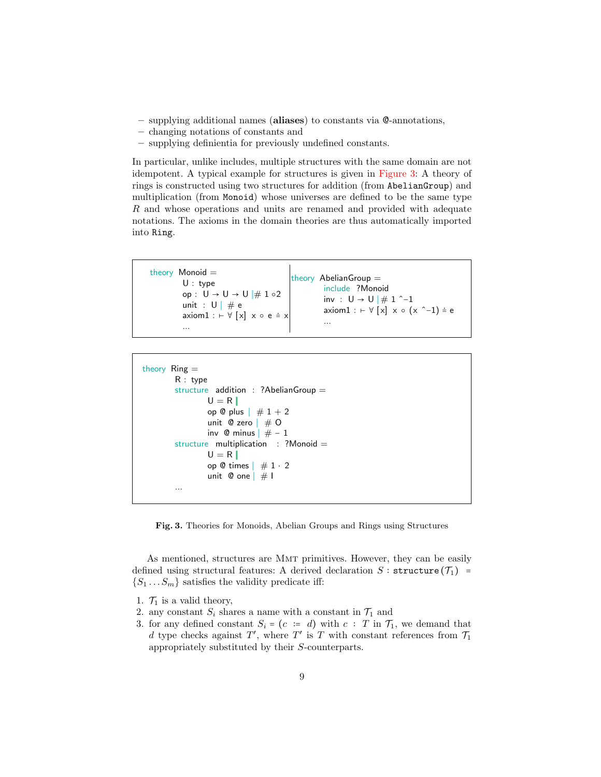- supplying additional names (aliases) to constants via @-annotations,
- changing notations of constants and
- supplying definientia for previously undefined constants.

In particular, unlike includes, multiple structures with the same domain are not idempotent. A typical example for structures is given in [Figure 3:](#page-8-0) A theory of rings is constructed using two structures for addition (from AbelianGroup) and multiplication (from Monoid) whose universes are defined to be the same type R and whose operations and units are renamed and provided with adequate notations. The axioms in the domain theories are thus automatically imported into Ring.

```
theory Ring =R : type
structure addition : ?AbelianGroup =
        U = R|
        op @ plus |#1 + 2unit @ zero | \# Oinv \mathbb Q minus \mid \# -1structure multiplication : ?Monoid =
        U = R|
        op \Theta times \# 1 \cdot 2unit @ one ∣ # I
...
```
<span id="page-8-0"></span>Fig. 3. Theories for Monoids, Abelian Groups and Rings using Structures

As mentioned, structures are Mmt primitives. However, they can be easily defined using structural features: A derived declaration  $S:$  structure  $(\mathcal{T}_1)$  =  ${S_1 \dots S_m}$  satisfies the validity predicate iff:

- 1.  $\mathcal{T}_1$  is a valid theory,
- 2. any constant  $S_i$  shares a name with a constant in  $\mathcal{T}_1$  and
- 3. for any defined constant  $S_i = (c := d)$  with  $c : T$  in  $\mathcal{T}_1$ , we demand that d type checks against  $T'$ , where  $T'$  is  $T$  with constant references from  $\mathcal{T}_1$ appropriately substituted by their S-counterparts.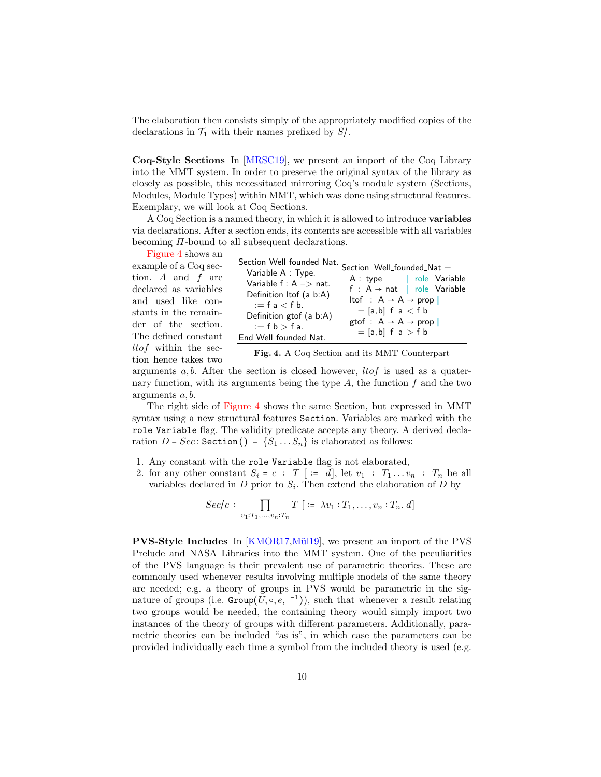The elaboration then consists simply of the appropriately modified copies of the declarations in  $\mathcal{T}_1$  with their names prefixed by  $S$ .

Coq-Style Sections In [\[MRSC19\]](#page-14-8), we present an import of the Coq Library into the MMT system. In order to preserve the original syntax of the library as closely as possible, this necessitated mirroring Coq's module system (Sections, Modules, Module Types) within MMT, which was done using structural features. Exemplary, we will look at Coq Sections.

A Coq Section is a named theory, in which it is allowed to introduce variables via declarations. After a section ends, its contents are accessible with all variables becoming Π-bound to all subsequent declarations.

[Figure 4](#page-9-0) shows an example of a Coq section. A and f are declared as variables and used like constants in the remainder of the section. The defined constant ltof within the section hence takes two

| Section Well_founded_Nat.<br>Variable A : Type.<br>Variable $f: A \rightarrow nat$ .<br>Definition Itof (a b:A)<br>$:= f a < f b.$<br>Definition gtof (a b:A)<br>$:= f b > f a.$<br>End Well_founded_Nat. | Section Well_founded_Nat =<br>A : type   role Variable<br>$f : A \rightarrow nat$   role Variable<br>Itof : $A \rightarrow A \rightarrow prop$<br>$=$ [a, b] f a $<$ f b<br>gtof : $A \rightarrow A \rightarrow prop$<br>$=[a,b]$ f $a>fb$ |
|-----------------------------------------------------------------------------------------------------------------------------------------------------------------------------------------------------------|--------------------------------------------------------------------------------------------------------------------------------------------------------------------------------------------------------------------------------------------|
|-----------------------------------------------------------------------------------------------------------------------------------------------------------------------------------------------------------|--------------------------------------------------------------------------------------------------------------------------------------------------------------------------------------------------------------------------------------------|

<span id="page-9-0"></span>Fig. 4. A Coq Section and its MMT Counterpart

arguments  $a, b$ . After the section is closed however, *ltof* is used as a quaternary function, with its arguments being the type  $A$ , the function  $f$  and the two arguments a, b.

The right side of [Figure 4](#page-9-0) shows the same Section, but expressed in MMT syntax using a new structural features Section. Variables are marked with the role Variable flag. The validity predicate accepts any theory. A derived declaration  $D = Sec$ : Section () =  $\{S_1 \dots S_n\}$  is elaborated as follows:

- 1. Any constant with the role Variable flag is not elaborated,
- 2. for any other constant  $S_i = c : T$  [ := d], let  $v_1 : T_1 ... v_n : T_n$  be all variables declared in  $D$  prior to  $S_i$ . Then extend the elaboration of  $D$  by

$$
Sec/c: \prod_{v_1:T_1,\ldots,v_n:T_n} T \; [:= \lambda v_1 : T_1,\ldots,v_n : T_n. d]
$$

**PVS-Style Includes** In [\[KMOR17,](#page-14-7) Mül19], we present an import of the PVS Prelude and NASA Libraries into the MMT system. One of the peculiarities of the PVS language is their prevalent use of parametric theories. These are commonly used whenever results involving multiple models of the same theory are needed; e.g. a theory of groups in PVS would be parametric in the signature of groups (i.e.  $Group(U, \circ, e, -1)$ ), such that whenever a result relating two groups would be needed, the containing theory would simply import two instances of the theory of groups with different parameters. Additionally, parametric theories can be included "as is", in which case the parameters can be provided individually each time a symbol from the included theory is used (e.g.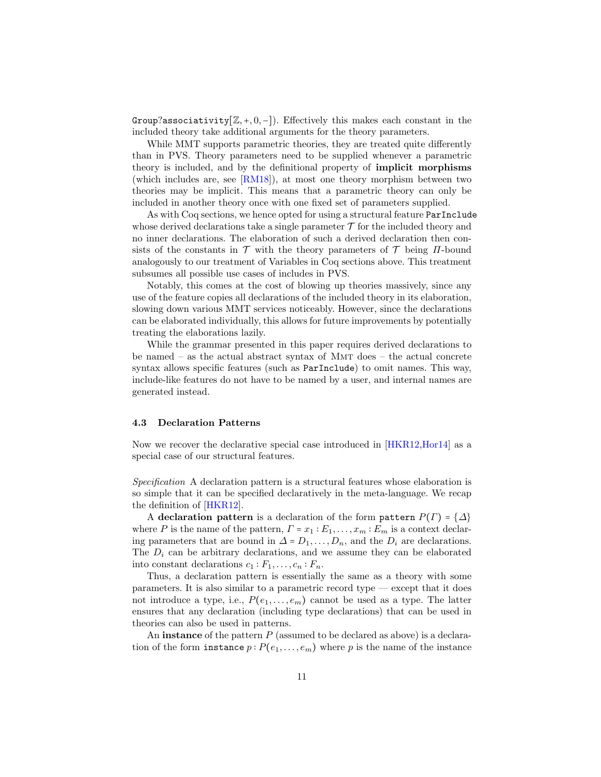Group?associativity $[\mathbb{Z},+,0,-]$ ). Effectively this makes each constant in the included theory take additional arguments for the theory parameters.

While MMT supports parametric theories, they are treated quite differently than in PVS. Theory parameters need to be supplied whenever a parametric theory is included, and by the definitional property of implicit morphisms (which includes are, see [\[RM18\]](#page-14-14)), at most one theory morphism between two theories may be implicit. This means that a parametric theory can only be included in another theory once with one fixed set of parameters supplied.

As with Coq sections, we hence opted for using a structural feature ParInclude whose derived declarations take a single parameter  $\mathcal T$  for the included theory and no inner declarations. The elaboration of such a derived declaration then consists of the constants in  $\mathcal T$  with the theory parameters of  $\mathcal T$  being  $\Pi$ -bound analogously to our treatment of Variables in Coq sections above. This treatment subsumes all possible use cases of includes in PVS.

Notably, this comes at the cost of blowing up theories massively, since any use of the feature copies all declarations of the included theory in its elaboration, slowing down various MMT services noticeably. However, since the declarations can be elaborated individually, this allows for future improvements by potentially treating the elaborations lazily.

While the grammar presented in this paper requires derived declarations to be named – as the actual abstract syntax of Mmt does – the actual concrete syntax allows specific features (such as ParInclude) to omit names. This way, include-like features do not have to be named by a user, and internal names are generated instead.

#### 4.3 Declaration Patterns

Now we recover the declarative special case introduced in [\[HKR12](#page-13-7)[,Hor14\]](#page-14-3) as a special case of our structural features.

Specification A declaration pattern is a structural features whose elaboration is so simple that it can be specified declaratively in the meta-language. We recap the definition of [\[HKR12\]](#page-13-7).

A declaration pattern is a declaration of the form pattern  $P(\Gamma) = \{\Delta\}$ where P is the name of the pattern,  $\Gamma = x_1 : E_1, \ldots, x_m : E_m$  is a context declaring parameters that are bound in  $\Delta = D_1, \ldots, D_n$ , and the  $D_i$  are declarations. The  $D_i$  can be arbitrary declarations, and we assume they can be elaborated into constant declarations  $c_1 : F_1, \ldots, c_n : F_n$ .

Thus, a declaration pattern is essentially the same as a theory with some parameters. It is also similar to a parametric record type — except that it does not introduce a type, i.e.,  $P(e_1, \ldots, e_m)$  cannot be used as a type. The latter ensures that any declaration (including type declarations) that can be used in theories can also be used in patterns.

An **instance** of the pattern  $P$  (assumed to be declared as above) is a declaration of the form instance  $p : P(e_1, \ldots, e_m)$  where p is the name of the instance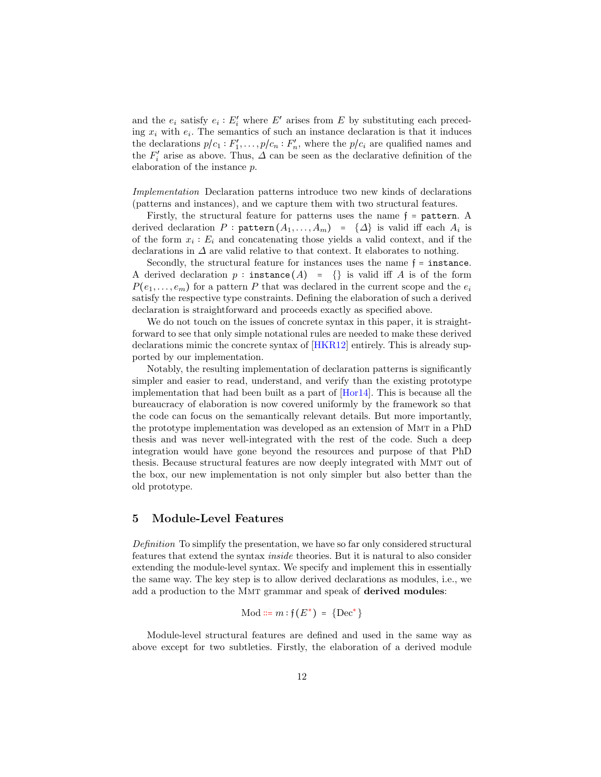and the  $e_i$  satisfy  $e_i : E'_i$  where  $E'$  arises from E by substituting each preceding  $x_i$  with  $e_i$ . The semantics of such an instance declaration is that it induces the declarations  $p/c_1 : F'_1, \ldots, p/c_n : F'_n$ , where the  $p/c_i$  are qualified names and the  $F_i'$  arise as above. Thus,  $\Delta$  can be seen as the declarative definition of the elaboration of the instance p.

Implementation Declaration patterns introduce two new kinds of declarations (patterns and instances), and we capture them with two structural features.

Firstly, the structural feature for patterns uses the name f = pattern. A derived declaration  $P$ : pattern  $(A_1, ..., A_m) = {\{\Delta\}}$  is valid iff each  $A_i$  is of the form  $x_i : E_i$  and concatenating those yields a valid context, and if the declarations in  $\Delta$  are valid relative to that context. It elaborates to nothing.

Secondly, the structural feature for instances uses the name  $f =$  instance. A derived declaration  $p : \mathbf{instance}(A) = \{\}$  is valid iff A is of the form  $P(e_1, \ldots, e_m)$  for a pattern P that was declared in the current scope and the  $e_i$ satisfy the respective type constraints. Defining the elaboration of such a derived declaration is straightforward and proceeds exactly as specified above.

We do not touch on the issues of concrete syntax in this paper, it is straightforward to see that only simple notational rules are needed to make these derived declarations mimic the concrete syntax of [\[HKR12\]](#page-13-7) entirely. This is already supported by our implementation.

Notably, the resulting implementation of declaration patterns is significantly simpler and easier to read, understand, and verify than the existing prototype implementation that had been built as a part of [\[Hor14\]](#page-14-3). This is because all the bureaucracy of elaboration is now covered uniformly by the framework so that the code can focus on the semantically relevant details. But more importantly, the prototype implementation was developed as an extension of Mmt in a PhD thesis and was never well-integrated with the rest of the code. Such a deep integration would have gone beyond the resources and purpose of that PhD thesis. Because structural features are now deeply integrated with Mmt out of the box, our new implementation is not only simpler but also better than the old prototype.

### <span id="page-11-0"></span>5 Module-Level Features

Definition To simplify the presentation, we have so far only considered structural features that extend the syntax inside theories. But it is natural to also consider extending the module-level syntax. We specify and implement this in essentially the same way. The key step is to allow derived declarations as modules, i.e., we add a production to the Mmt grammar and speak of derived modules:

$$
\text{Mod} \coloneqq m : \mathfrak{f}(E^*) = \{\text{Dec}^*\}
$$

Module-level structural features are defined and used in the same way as above except for two subtleties. Firstly, the elaboration of a derived module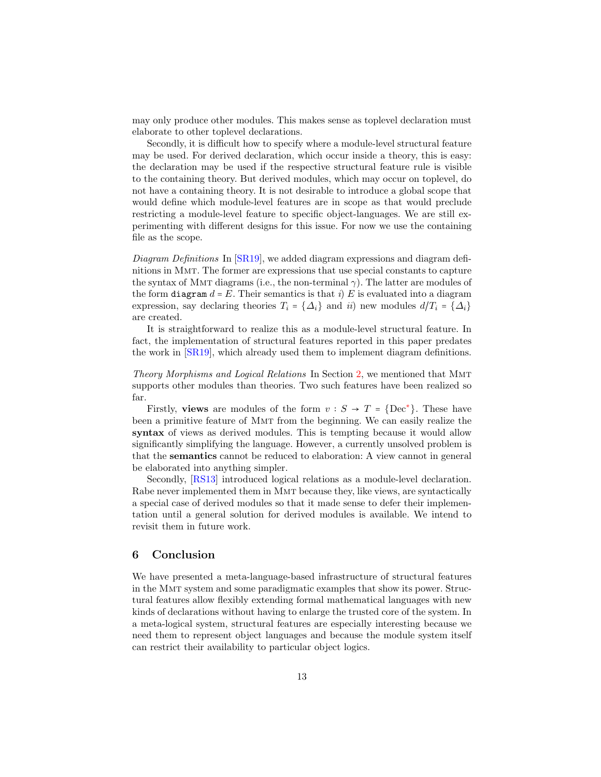may only produce other modules. This makes sense as toplevel declaration must elaborate to other toplevel declarations.

Secondly, it is difficult how to specify where a module-level structural feature may be used. For derived declaration, which occur inside a theory, this is easy: the declaration may be used if the respective structural feature rule is visible to the containing theory. But derived modules, which may occur on toplevel, do not have a containing theory. It is not desirable to introduce a global scope that would define which module-level features are in scope as that would preclude restricting a module-level feature to specific object-languages. We are still experimenting with different designs for this issue. For now we use the containing file as the scope.

Diagram Definitions In [\[SR19\]](#page-14-15), we added diagram expressions and diagram definitions in Mmt. The former are expressions that use special constants to capture the syntax of MMT diagrams (i.e., the non-terminal  $\gamma$ ). The latter are modules of the form diagram  $d = E$ . Their semantics is that i) E is evaluated into a diagram expression, say declaring theories  $T_i = {\Delta_i}$  and ii) new modules  $d/T_i = {\Delta_i}$ are created.

It is straightforward to realize this as a module-level structural feature. In fact, the implementation of structural features reported in this paper predates the work in [\[SR19\]](#page-14-15), which already used them to implement diagram definitions.

Theory Morphisms and Logical Relations In Section [2,](#page-2-0) we mentioned that Mmt supports other modules than theories. Two such features have been realized so far.

Firstly, views are modules of the form  $v : S \to T = \{\text{Dec}^*\}$ . These have been a primitive feature of Mmt from the beginning. We can easily realize the syntax of views as derived modules. This is tempting because it would allow significantly simplifying the language. However, a currently unsolved problem is that the semantics cannot be reduced to elaboration: A view cannot in general be elaborated into anything simpler.

Secondly, [\[RS13\]](#page-14-16) introduced logical relations as a module-level declaration. Rabe never implemented them in Mmt because they, like views, are syntactically a special case of derived modules so that it made sense to defer their implementation until a general solution for derived modules is available. We intend to revisit them in future work.

# <span id="page-12-0"></span>6 Conclusion

We have presented a meta-language-based infrastructure of structural features in the Mmt system and some paradigmatic examples that show its power. Structural features allow flexibly extending formal mathematical languages with new kinds of declarations without having to enlarge the trusted core of the system. In a meta-logical system, structural features are especially interesting because we need them to represent object languages and because the module system itself can restrict their availability to particular object logics.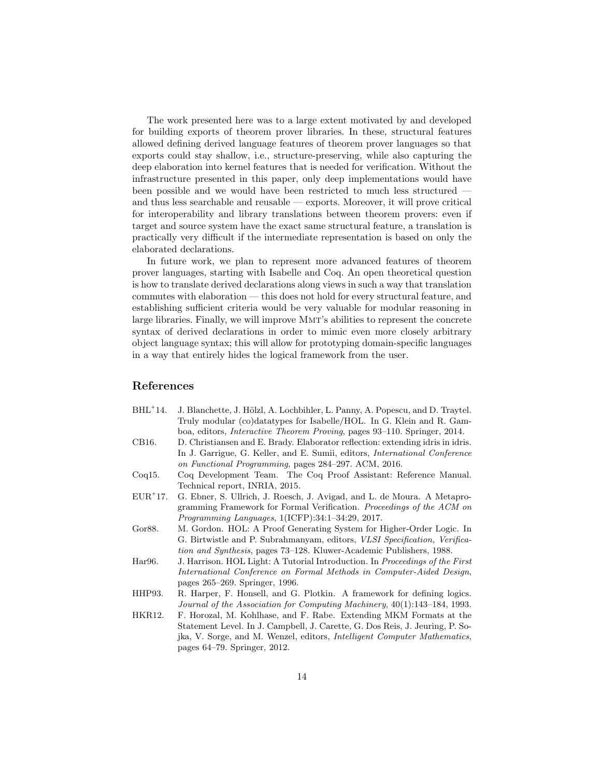The work presented here was to a large extent motivated by and developed for building exports of theorem prover libraries. In these, structural features allowed defining derived language features of theorem prover languages so that exports could stay shallow, i.e., structure-preserving, while also capturing the deep elaboration into kernel features that is needed for verification. Without the infrastructure presented in this paper, only deep implementations would have been possible and we would have been restricted to much less structured and thus less searchable and reusable — exports. Moreover, it will prove critical for interoperability and library translations between theorem provers: even if target and source system have the exact same structural feature, a translation is practically very difficult if the intermediate representation is based on only the elaborated declarations.

In future work, we plan to represent more advanced features of theorem prover languages, starting with Isabelle and Coq. An open theoretical question is how to translate derived declarations along views in such a way that translation commutes with elaboration — this does not hold for every structural feature, and establishing sufficient criteria would be very valuable for modular reasoning in large libraries. Finally, we will improve Mmt's abilities to represent the concrete syntax of derived declarations in order to mimic even more closely arbitrary object language syntax; this will allow for prototyping domain-specific languages in a way that entirely hides the logical framework from the user.

# References

<span id="page-13-7"></span><span id="page-13-6"></span><span id="page-13-5"></span><span id="page-13-4"></span><span id="page-13-3"></span><span id="page-13-2"></span><span id="page-13-1"></span><span id="page-13-0"></span>

| $BHL^+14$ .         | J. Blanchette, J. Hölzl, A. Lochbihler, L. Panny, A. Popescu, and D. Traytel.       |
|---------------------|-------------------------------------------------------------------------------------|
|                     | Truly modular (co)datatypes for Isabelle/HOL. In G. Klein and R. Gam-               |
|                     | boa, editors, <i>Interactive Theorem Proving</i> , pages 93–110. Springer, 2014.    |
| CB16.               | D. Christiansen and E. Brady. Elaborator reflection: extending idris in idris.      |
|                     | In J. Garrigue, G. Keller, and E. Sumii, editors, <i>International Conference</i>   |
|                     | on Functional Programming, pages 284–297. ACM, 2016.                                |
| Coq15.              | Coq Development Team. The Coq Proof Assistant: Reference Manual.                    |
|                     | Technical report, INRIA, 2015.                                                      |
| $EUR^+17$ .         | G. Ebner, S. Ullrich, J. Roesch, J. Avigad, and L. de Moura. A Metapro-             |
|                     | gramming Framework for Formal Verification. Proceedings of the ACM on               |
|                     | <i>Programming Languages,</i> 1(ICFP):34:1-34:29, 2017.                             |
| Gor88.              | M. Gordon. HOL: A Proof Generating System for Higher-Order Logic. In                |
|                     | G. Birtwistle and P. Subrahmanyam, editors, VLSI Specification, Verifica-           |
|                     | tion and Synthesis, pages 73–128. Kluwer-Academic Publishers, 1988.                 |
| Har <sub>96</sub> . | J. Harrison. HOL Light: A Tutorial Introduction. In <i>Proceedings of the First</i> |
|                     | International Conference on Formal Methods in Computer-Aided Design,                |
|                     | pages 265–269. Springer, 1996.                                                      |
| HHP93.              | R. Harper, F. Honsell, and G. Plotkin. A framework for defining logics.             |
|                     | Journal of the Association for Computing Machinery, 40(1):143-184, 1993.            |
| HKR12.              | F. Horozal, M. Kohlhase, and F. Rabe. Extending MKM Formats at the                  |
|                     | Statement Level. In J. Campbell, J. Carette, G. Dos Reis, J. Jeuring, P. So-        |
|                     | jka, V. Sorge, and M. Wenzel, editors, <i>Intelligent Computer Mathematics</i> ,    |
|                     | pages $64-79$ . Springer, 2012.                                                     |
|                     |                                                                                     |